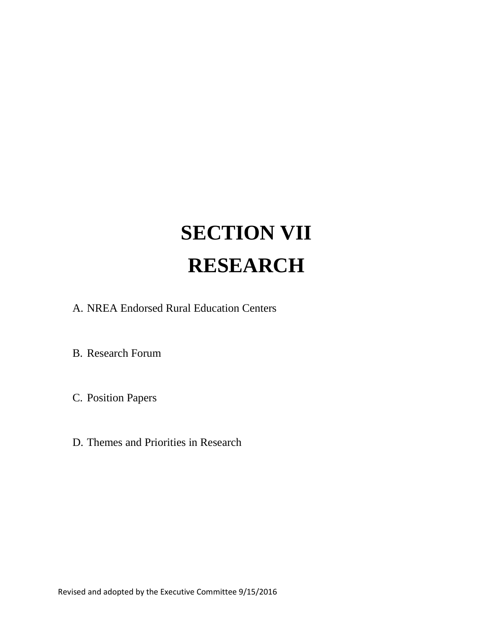# **SECTION VII RESEARCH**

A. NREA Endorsed Rural Education Centers

B. Research Forum

C. Position Papers

D. Themes and Priorities in Research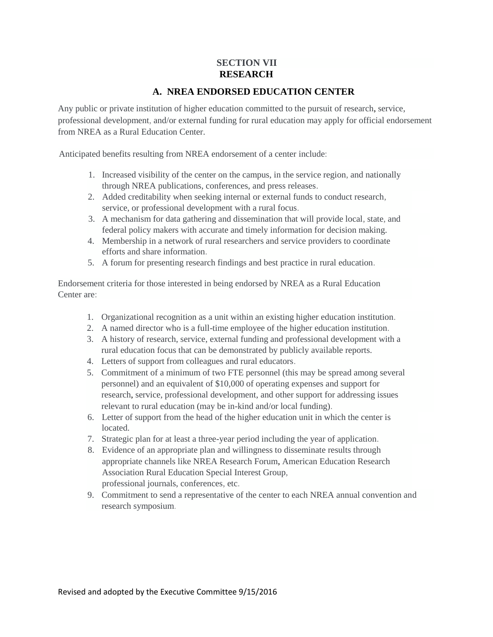### **SECTION VII RESEARCH**

### **A. NREA ENDORSED EDUCATION CENTER**

Any public or private institution of higher education committed to the pursuit of research, service, professional development, and/or external funding for rural education may apply for official endorsement from NREA as a Rural Education Center.

Anticipated benefits resulting from NREA endorsement of a center include:

- 1. Increased visibility of the center on the campus, in the service region, and nationally through NREA publications, conferences, and press releases.
- 2. Added creditability when seeking internal or external funds to conduct research, service, or professional development with a rural focus.
- 3. A mechanism for data gathering and dissemination that will provide local, state, and federal policy makers with accurate and timely information for decision making.
- 4. Membership in a network of rural researchers and service providers to coordinate efforts and share information.
- 5. A forum for presenting research findings and best practice in rural education.

Endorsement criteria for those interested in being endorsed by NREA as a Rural Education Center are:

- 1. Organizational recognition as a unit within an existing higher education institution.
- 2. A named director who is a full-time employee of the higher education institution.
- 3. A history of research, service, external funding and professional development with a rural education focus that can be demonstrated by publicly available reports.
- 4. Letters of support from colleagues and rural educators.
- 5. Commitment of a minimum of two FTE personnel (this may be spread among several personnel) and an equivalent of \$10,000 of operating expenses and support for research, service, professional development, and other support for addressing issues relevant to rural education (may be in-kind and/or local funding).
- 6. Letter of support from the head of the higher education unit in which the center is located.
- 7. Strategic plan for at least a three-year period including the year of application.
- 8. Evidence of an appropriate plan and willingness to disseminate results through appropriate channels like NREA Research Forum, American Education Research Association Rural Education Special Interest Group, professional journals, conferences, etc.
- 9. Commitment to send a representative of the center to each NREA annual convention and research symposium.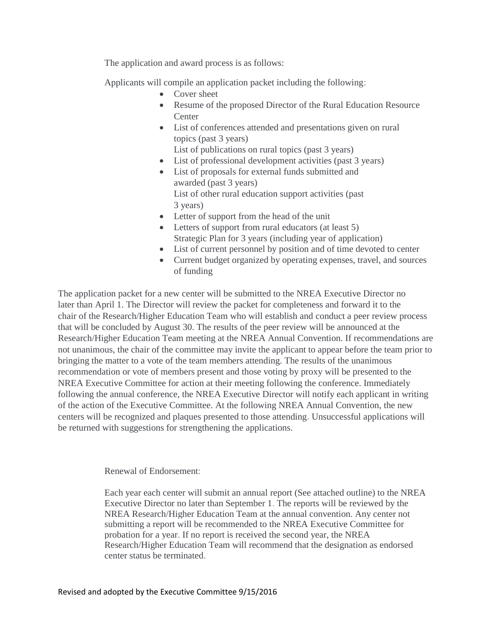The application and award process is as follows:

Applicants will compile an application packet including the following:

- Cover sheet
- Resume of the proposed Director of the Rural Education Resource **Center**
- List of conferences attended and presentations given on rural topics (past 3 years) List of publications on rural topics (past 3 years)
- List of professional development activities (past 3 years)
- List of proposals for external funds submitted and awarded (past 3 years) List of other rural education support activities (past 3 years)
- Letter of support from the head of the unit
- Letters of support from rural educators (at least 5) Strategic Plan for 3 years (including year of application)
- List of current personnel by position and of time devoted to center
- Current budget organized by operating expenses, travel, and sources of funding

The application packet for a new center will be submitted to the NREA Executive Director no later than April 1. The Director will review the packet for completeness and forward it to the chair of the Research/Higher Education Team who will establish and conduct a peer review process that will be concluded by August 30. The results of the peer review will be announced at the Research/Higher Education Team meeting at the NREA Annual Convention. If recommendations are not unanimous, the chair of the committee may invite the applicant to appear before the team prior to bringing the matter to a vote of the team members attending. The results of the unanimous recommendation or vote of members present and those voting by proxy will be presented to the NREA Executive Committee for action at their meeting following the conference. Immediately following the annual conference, the NREA Executive Director will notify each applicant in writing of the action of the Executive Committee. At the following NREA Annual Convention, the new centers will be recognized and plaques presented to those attending. Unsuccessful applications will be returned with suggestions for strengthening the applications.

Renewal of Endorsement:

Each year each center will submit an annual report (See attached outline) to the NREA Executive Director no later than September 1. The reports will be reviewed by the NREA Research/Higher Education Team at the annual convention. Any center not submitting a report will be recommended to the NREA Executive Committee for probation for a year. If no report is received the second year, the NREA Research/Higher Education Team will recommend that the designation as endorsed center status be terminated.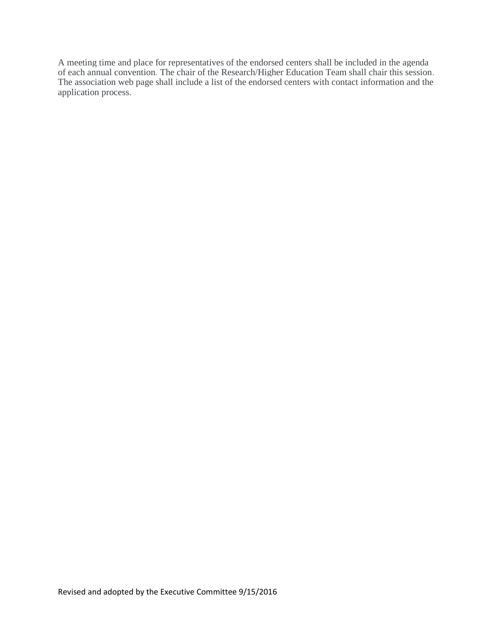A meeting time and place for representatives of the endorsed centers shall be included in the agenda of each annual convention. The chair of the Research/Higher Education Team shall chair this session. The association web page shall include a list of the endorsed centers with contact information and the application process.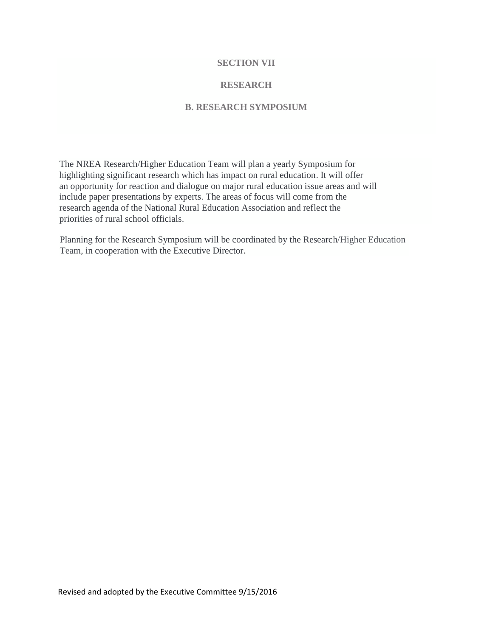#### **SECTION VII**

#### **RESEARCH**

#### **B. RESEARCH SYMPOSIUM**

The NREA Research/Higher Education Team will plan a yearly Symposium for highlighting significant research which has impact on rural education. It will offer an opportunity for reaction and dialogue on major rural education issue areas and will include paper presentations by experts. The areas of focus will come from the research agenda of the National Rural Education Association and reflect the priorities of rural school officials.

Planning for the Research Symposium will be coordinated by the Research/Higher Education Team, in cooperation with the Executive Director.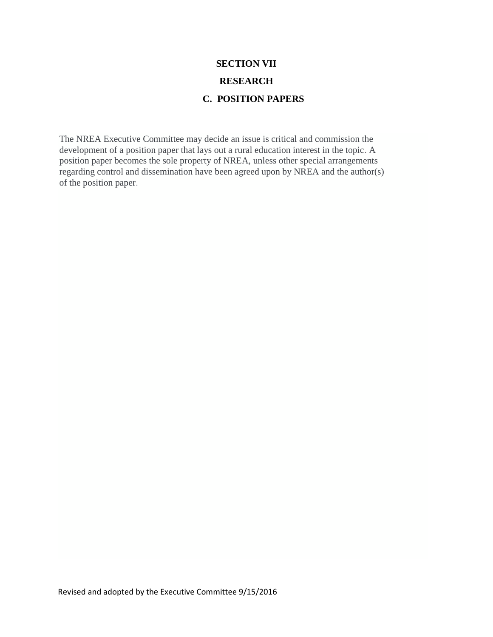# **SECTION VII RESEARCH C. POSITION PAPERS**

The NREA Executive Committee may decide an issue is critical and commission the development of a position paper that lays out a rural education interest in the topic. A position paper becomes the sole property of NREA, unless other special arrangements regarding control and dissemination have been agreed upon by NREA and the author(s) of the position paper.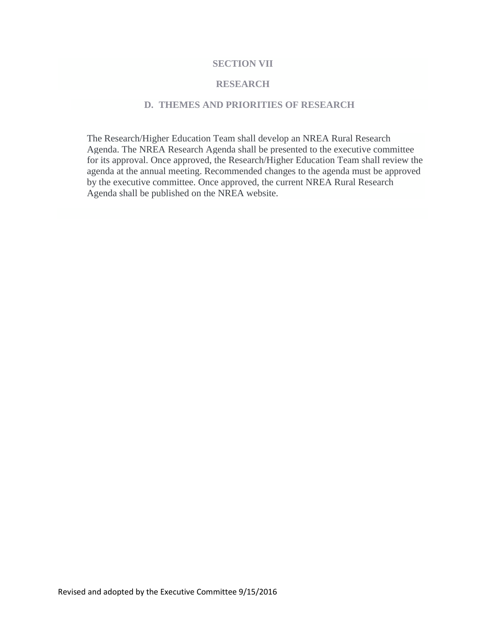#### **SECTION VII**

#### **RESEARCH**

#### **D. THEMES AND PRIORITIES OF RESEARCH**

The Research/Higher Education Team shall develop an NREA Rural Research Agenda. The NREA Research Agenda shall be presented to the executive committee for its approval. Once approved, the Research/Higher Education Team shall review the agenda at the annual meeting. Recommended changes to the agenda must be approved by the executive committee. Once approved, the current NREA Rural Research Agenda shall be published on the NREA website.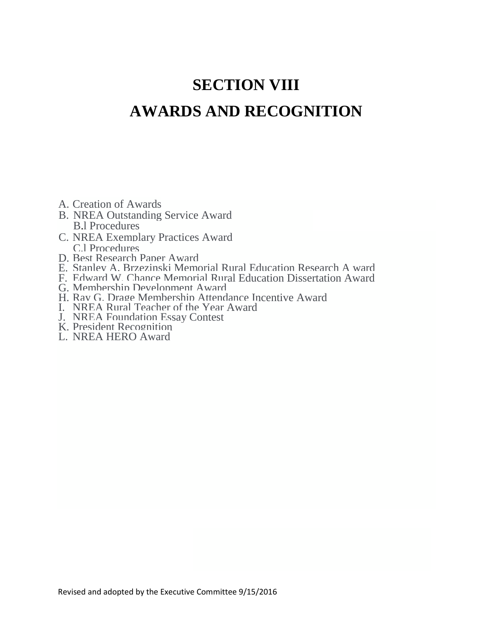# **SECTION VIII AWARDS AND RECOGNITION**

- A. Creation of Awards
- B. NREA Outstanding Service Award B.l Procedures
- C. NREA Exemplary Practices Award C.l Procedures
- D. Best Research Paper Award
- E. Stanley A. Brzezinski Memorial Rural Education Research A ward
- F. Edward W. Chance Memorial Rural Education Dissertation Award
- G. Membership Development Award
- H. Ray G. Drage Membership Attendance Incentive Award
- I. NREA Rural Teacher of the Year Award
- J. NREA Foundation Essay Contest
- K. President Recognition
- L. NREA HERO Award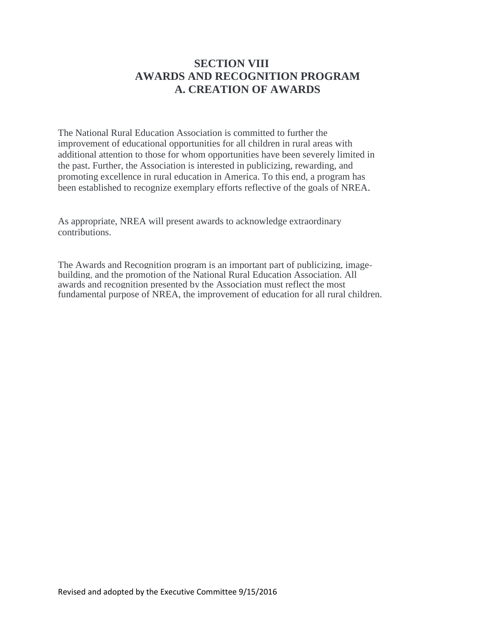## **SECTION VIII AWARDS AND RECOGNITION PROGRAM A. CREATION OF AWARDS**

The National Rural Education Association is committed to further the improvement of educational opportunities for all children in rural areas with additional attention to those for whom opportunities have been severely limited in the past. Further, the Association is interested in publicizing, rewarding, and promoting excellence in rural education in America. To this end, a program has been established to recognize exemplary efforts reflective of the goals of NREA.

As appropriate, NREA will present awards to acknowledge extraordinary contributions.

The Awards and Recognition program is an important part of publicizing, imagebuilding, and the promotion of the National Rural Education Association. All awards and recognition presented by the Association must reflect the most fundamental purpose of NREA, the improvement of education for all rural children.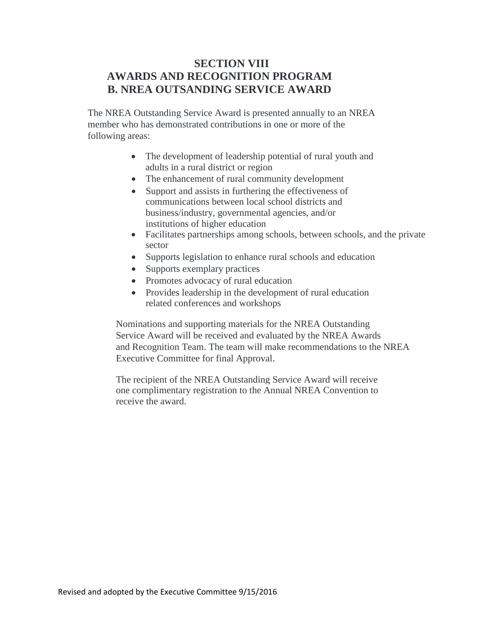## **SECTION VIII AWARDS AND RECOGNITION PROGRAM B. NREA OUTSANDING SERVICE AWARD**

The NREA Outstanding Service Award is presented annually to an NREA member who has demonstrated contributions in one or more of the following areas:

- The development of leadership potential of rural youth and adults in a rural district or region
- The enhancement of rural community development
- Support and assists in furthering the effectiveness of communications between local school districts and business/industry, governmental agencies, and/or institutions of higher education
- Facilitates partnerships among schools, between schools, and the private sector
- Supports legislation to enhance rural schools and education
- Supports exemplary practices
- Promotes advocacy of rural education
- Provides leadership in the development of rural education related conferences and workshops

Nominations and supporting materials for the NREA Outstanding Service Award will be received and evaluated by the NREA Awards and Recognition Team. The team will make recommendations to the NREA Executive Committee for final Approval.

The recipient of the NREA Outstanding Service Award will receive one complimentary registration to the Annual NREA Convention to receive the award.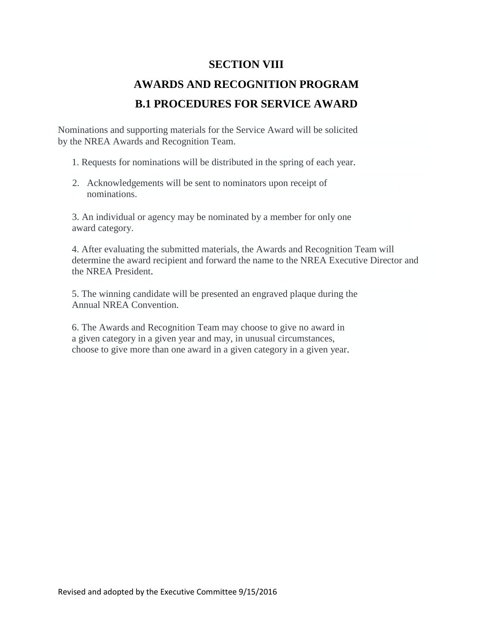## **SECTION VIII**

# **AWARDS AND RECOGNITION PROGRAM B.1 PROCEDURES FOR SERVICE AWARD**

Nominations and supporting materials for the Service Award will be solicited by the NREA Awards and Recognition Team.

1. Requests for nominations will be distributed in the spring of each year.

2. Acknowledgements will be sent to nominators upon receipt of nominations.

3. An individual or agency may be nominated by a member for only one award category.

4. After evaluating the submitted materials, the Awards and Recognition Team will determine the award recipient and forward the name to the NREA Executive Director and the NREA President.

5. The winning candidate will be presented an engraved plaque during the Annual NREA Convention.

6. The Awards and Recognition Team may choose to give no award in a given category in a given year and may, in unusual circumstances, choose to give more than one award in a given category in a given year.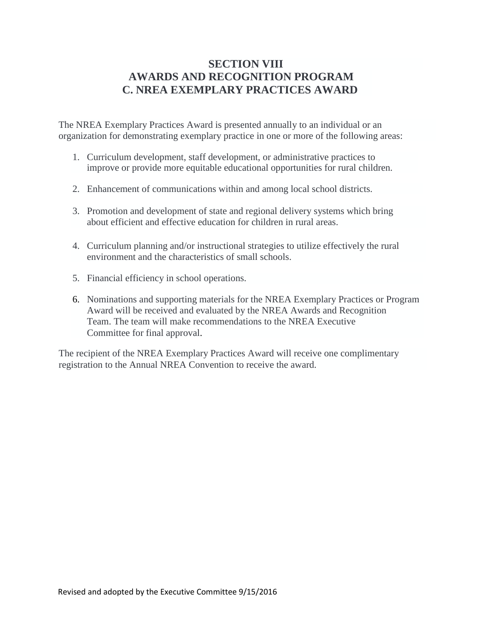# **SECTION VIII AWARDS AND RECOGNITION PROGRAM C. NREA EXEMPLARY PRACTICES AWARD**

The NREA Exemplary Practices Award is presented annually to an individual or an organization for demonstrating exemplary practice in one or more of the following areas:

- 1. Curriculum development, staff development, or administrative practices to improve or provide more equitable educational opportunities for rural children.
- 2. Enhancement of communications within and among local school districts.
- 3. Promotion and development of state and regional delivery systems which bring about efficient and effective education for children in rural areas.
- 4. Curriculum planning and/or instructional strategies to utilize effectively the rural environment and the characteristics of small schools.
- 5. Financial efficiency in school operations.
- 6. Nominations and supporting materials for the NREA Exemplary Practices or Program Award will be received and evaluated by the NREA Awards and Recognition Team. The team will make recommendations to the NREA Executive Committee for final approval.

The recipient of the NREA Exemplary Practices Award will receive one complimentary registration to the Annual NREA Convention to receive the award.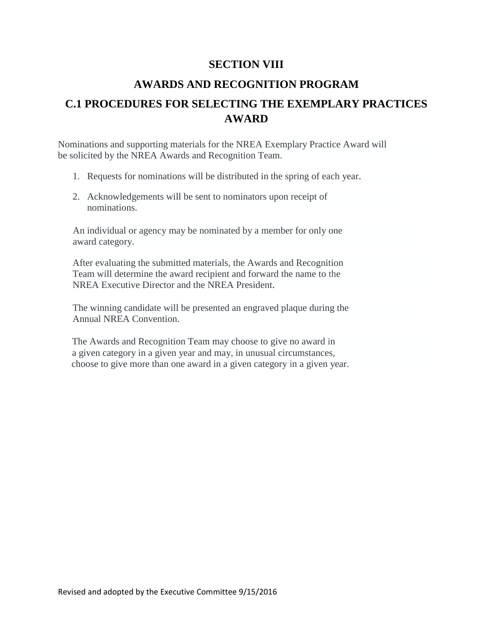## **SECTION VIII**

## **AWARDS AND RECOGNITION PROGRAM**

# **C.1 PROCEDURES FOR SELECTING THE EXEMPLARY PRACTICES AWARD**

Nominations and supporting materials for the NREA Exemplary Practice Award will be solicited by the NREA Awards and Recognition Team.

- 1. Requests for nominations will be distributed in the spring of each year.
- 2. Acknowledgements will be sent to nominators upon receipt of nominations.

An individual or agency may be nominated by a member for only one award category.

After evaluating the submitted materials, the Awards and Recognition Team will determine the award recipient and forward the name to the NREA Executive Director and the NREA President.

The winning candidate will be presented an engraved plaque during the Annual NREA Convention.

The Awards and Recognition Team may choose to give no award in a given category in a given year and may, in unusual circumstances, .choose to give more than one award in a given category in a given year.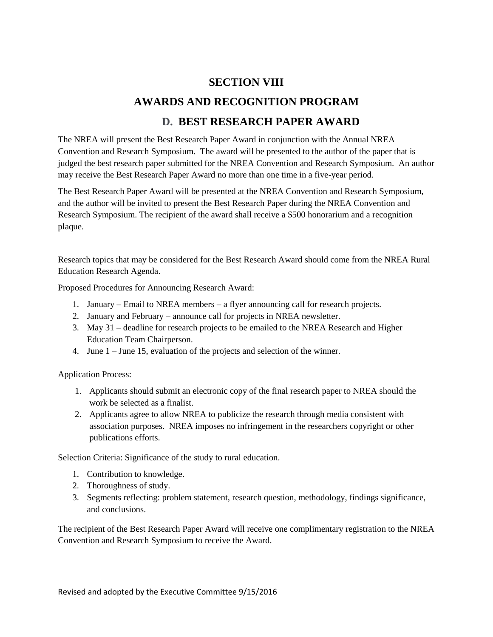### **SECTION VIII**

## **AWARDS AND RECOGNITION PROGRAM**

## **D. BEST RESEARCH PAPER AWARD**

The NREA will present the Best Research Paper Award in conjunction with the Annual NREA Convention and Research Symposium. The award will be presented to the author of the paper that is judged the best research paper submitted for the NREA Convention and Research Symposium. An author may receive the Best Research Paper Award no more than one time in a five-year period.

The Best Research Paper Award will be presented at the NREA Convention and Research Symposium, and the author will be invited to present the Best Research Paper during the NREA Convention and Research Symposium. The recipient of the award shall receive a \$500 honorarium and a recognition plaque.

Research topics that may be considered for the Best Research Award should come from the NREA Rural Education Research Agenda.

Proposed Procedures for Announcing Research Award:

- 1. January Email to NREA members a flyer announcing call for research projects.
- 2. January and February announce call for projects in NREA newsletter.
- 3. May 31 deadline for research projects to be emailed to the NREA Research and Higher Education Team Chairperson.
- 4. June 1 June 15, evaluation of the projects and selection of the winner.

Application Process:

- 1. Applicants should submit an electronic copy of the final research paper to NREA should the work be selected as a finalist.
- 2. Applicants agree to allow NREA to publicize the research through media consistent with association purposes. NREA imposes no infringement in the researchers copyright or other publications efforts.

Selection Criteria: Significance of the study to rural education.

- 1. Contribution to knowledge.
- 2. Thoroughness of study.
- 3. Segments reflecting: problem statement, research question, methodology, findings significance, and conclusions.

The recipient of the Best Research Paper Award will receive one complimentary registration to the NREA Convention and Research Symposium to receive the Award.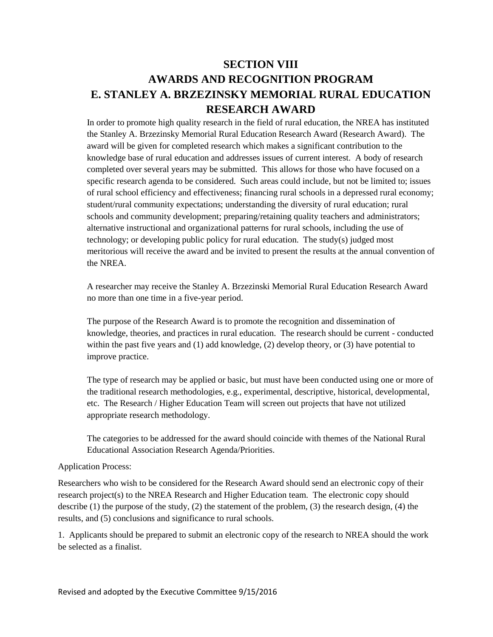# **SECTION VIII AWARDS AND RECOGNITION PROGRAM E. STANLEY A. BRZEZINSKY MEMORIAL RURAL EDUCATION RESEARCH AWARD**

In order to promote high quality research in the field of rural education, the NREA has instituted the Stanley A. Brzezinsky Memorial Rural Education Research Award (Research Award). The award will be given for completed research which makes a significant contribution to the knowledge base of rural education and addresses issues of current interest. A body of research completed over several years may be submitted. This allows for those who have focused on a specific research agenda to be considered. Such areas could include, but not be limited to; issues of rural school efficiency and effectiveness; financing rural schools in a depressed rural economy; student/rural community expectations; understanding the diversity of rural education; rural schools and community development; preparing/retaining quality teachers and administrators; alternative instructional and organizational patterns for rural schools, including the use of technology; or developing public policy for rural education. The study(s) judged most meritorious will receive the award and be invited to present the results at the annual convention of the NREA.

A researcher may receive the Stanley A. Brzezinski Memorial Rural Education Research Award no more than one time in a five-year period.

The purpose of the Research Award is to promote the recognition and dissemination of knowledge, theories, and practices in rural education. The research should be current - conducted within the past five years and (1) add knowledge, (2) develop theory, or (3) have potential to improve practice.

The type of research may be applied or basic, but must have been conducted using one or more of the traditional research methodologies, e.g., experimental, descriptive, historical, developmental, etc. The Research / Higher Education Team will screen out projects that have not utilized appropriate research methodology.

The categories to be addressed for the award should coincide with themes of the National Rural Educational Association Research Agenda/Priorities.

#### Application Process:

Researchers who wish to be considered for the Research Award should send an electronic copy of their research project(s) to the NREA Research and Higher Education team. The electronic copy should describe (1) the purpose of the study, (2) the statement of the problem, (3) the research design, (4) the results, and (5) conclusions and significance to rural schools.

1. Applicants should be prepared to submit an electronic copy of the research to NREA should the work be selected as a finalist.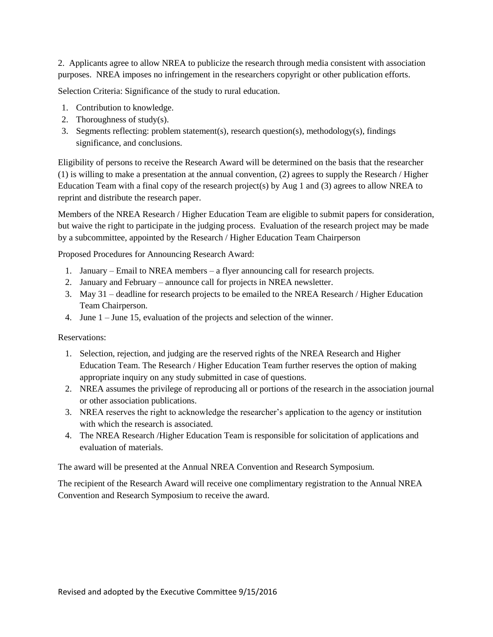2. Applicants agree to allow NREA to publicize the research through media consistent with association purposes. NREA imposes no infringement in the researchers copyright or other publication efforts.

Selection Criteria: Significance of the study to rural education.

- 1. Contribution to knowledge.
- 2. Thoroughness of study(s).
- 3. Segments reflecting: problem statement(s), research question(s), methodology(s), findings significance, and conclusions.

Eligibility of persons to receive the Research Award will be determined on the basis that the researcher (1) is willing to make a presentation at the annual convention, (2) agrees to supply the Research / Higher Education Team with a final copy of the research project(s) by Aug 1 and (3) agrees to allow NREA to reprint and distribute the research paper.

Members of the NREA Research / Higher Education Team are eligible to submit papers for consideration, but waive the right to participate in the judging process. Evaluation of the research project may be made by a subcommittee, appointed by the Research / Higher Education Team Chairperson

Proposed Procedures for Announcing Research Award:

- 1. January Email to NREA members a flyer announcing call for research projects.
- 2. January and February announce call for projects in NREA newsletter.
- 3. May 31 deadline for research projects to be emailed to the NREA Research / Higher Education Team Chairperson.
- 4. June 1 June 15, evaluation of the projects and selection of the winner.

Reservations:

- 1. Selection, rejection, and judging are the reserved rights of the NREA Research and Higher Education Team. The Research / Higher Education Team further reserves the option of making appropriate inquiry on any study submitted in case of questions.
- 2. NREA assumes the privilege of reproducing all or portions of the research in the association journal or other association publications.
- 3. NREA reserves the right to acknowledge the researcher's application to the agency or institution with which the research is associated.
- 4. The NREA Research /Higher Education Team is responsible for solicitation of applications and evaluation of materials.

The award will be presented at the Annual NREA Convention and Research Symposium.

The recipient of the Research Award will receive one complimentary registration to the Annual NREA Convention and Research Symposium to receive the award.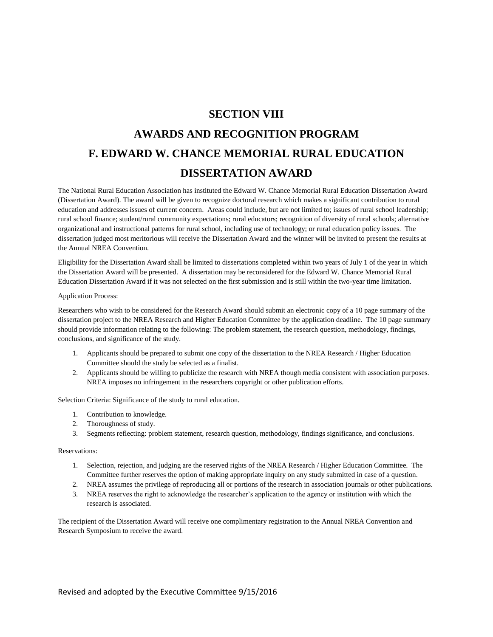### **SECTION VIII**

# **AWARDS AND RECOGNITION PROGRAM F. EDWARD W. CHANCE MEMORIAL RURAL EDUCATION DISSERTATION AWARD**

The National Rural Education Association has instituted the Edward W. Chance Memorial Rural Education Dissertation Award (Dissertation Award). The award will be given to recognize doctoral research which makes a significant contribution to rural education and addresses issues of current concern. Areas could include, but are not limited to; issues of rural school leadership; rural school finance; student/rural community expectations; rural educators; recognition of diversity of rural schools; alternative organizational and instructional patterns for rural school, including use of technology; or rural education policy issues. The dissertation judged most meritorious will receive the Dissertation Award and the winner will be invited to present the results at the Annual NREA Convention.

Eligibility for the Dissertation Award shall be limited to dissertations completed within two years of July 1 of the year in which the Dissertation Award will be presented. A dissertation may be reconsidered for the Edward W. Chance Memorial Rural Education Dissertation Award if it was not selected on the first submission and is still within the two-year time limitation.

#### Application Process:

Researchers who wish to be considered for the Research Award should submit an electronic copy of a 10 page summary of the dissertation project to the NREA Research and Higher Education Committee by the application deadline. The 10 page summary should provide information relating to the following: The problem statement, the research question, methodology, findings, conclusions, and significance of the study.

- 1. Applicants should be prepared to submit one copy of the dissertation to the NREA Research / Higher Education Committee should the study be selected as a finalist.
- 2. Applicants should be willing to publicize the research with NREA though media consistent with association purposes. NREA imposes no infringement in the researchers copyright or other publication efforts.

Selection Criteria: Significance of the study to rural education.

- 1. Contribution to knowledge.
- 2. Thoroughness of study.
- 3. Segments reflecting: problem statement, research question, methodology, findings significance, and conclusions.

#### Reservations:

- 1. Selection, rejection, and judging are the reserved rights of the NREA Research / Higher Education Committee. The Committee further reserves the option of making appropriate inquiry on any study submitted in case of a question.
- 2. NREA assumes the privilege of reproducing all or portions of the research in association journals or other publications.
- 3. NREA reserves the right to acknowledge the researcher's application to the agency or institution with which the research is associated.

The recipient of the Dissertation Award will receive one complimentary registration to the Annual NREA Convention and Research Symposium to receive the award.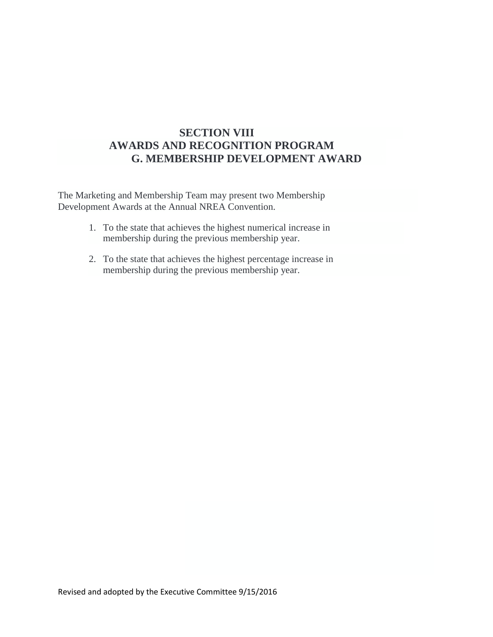# **SECTION VIII AWARDS AND RECOGNITION PROGRAM G. MEMBERSHIP DEVELOPMENT AWARD**

The Marketing and Membership Team may present two Membership Development Awards at the Annual NREA Convention.

- 1. To the state that achieves the highest numerical increase in membership during the previous membership year.
- 2. To the state that achieves the highest percentage increase in membership during the previous membership year.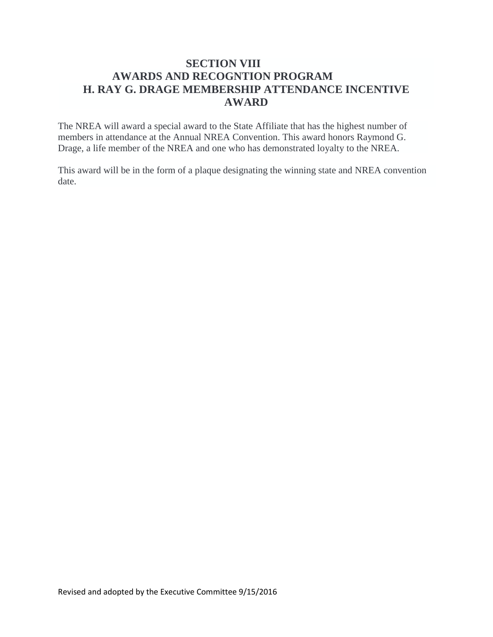# **SECTION VIII AWARDS AND RECOGNTION PROGRAM H. RAY G. DRAGE MEMBERSHIP ATTENDANCE INCENTIVE AWARD**

The NREA will award a special award to the State Affiliate that has the highest number of members in attendance at the Annual NREA Convention. This award honors Raymond G. Drage, a life member of the NREA and one who has demonstrated loyalty to the NREA.

This award will be in the form of a plaque designating the winning state and NREA convention date.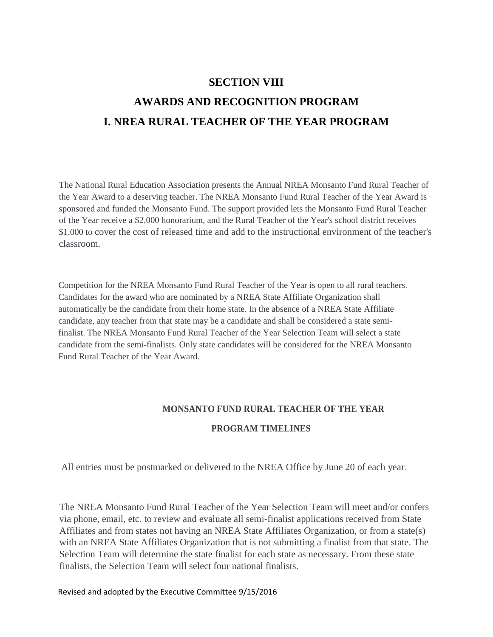# **SECTION VIII AWARDS AND RECOGNITION PROGRAM I. NREA RURAL TEACHER OF THE YEAR PROGRAM**

The National Rural Education Association presents the Annual NREA Monsanto Fund Rural Teacher of the Year Award to a deserving teacher. The NREA Monsanto Fund Rural Teacher of the Year Award is sponsored and funded the Monsanto Fund. The support provided lets the Monsanto Fund Rural Teacher of the Year receive a \$2,000 honorarium, and the Rural Teacher of the Year's school district receives \$1,000 to cover the cost of released time and add to the instructional environment of the teacher's classroom.

Competition for the NREA Monsanto Fund Rural Teacher of the Year is open to all rural teachers. Candidates for the award who are nominated by a NREA State Affiliate Organization shall automatically be the candidate from their home state. In the absence of a NREA State Affiliate candidate, any teacher from that state may be a candidate and shall be considered a state semifinalist. The NREA Monsanto Fund Rural Teacher of the Year Selection Team will select a state candidate from the semi-finalists. Only state candidates will be considered for the NREA Monsanto Fund Rural Teacher of the Year Award.

# **MONSANTO FUND RURAL TEACHER OF THE YEAR PROGRAM TIMELINES**

All entries must be postmarked or delivered to the NREA Office by June 20 of each year.

The NREA Monsanto Fund Rural Teacher of the Year Selection Team will meet and/or confers via phone, email, etc. to review and evaluate all semi-finalist applications received from State Affiliates and from states not having an NREA State Affiliates Organization, or from a state(s) with an NREA State Affiliates Organization that is not submitting a finalist from that state. The Selection Team will determine the state finalist for each state as necessary. From these state finalists, the Selection Team will select four national finalists.

Revised and adopted by the Executive Committee 9/15/2016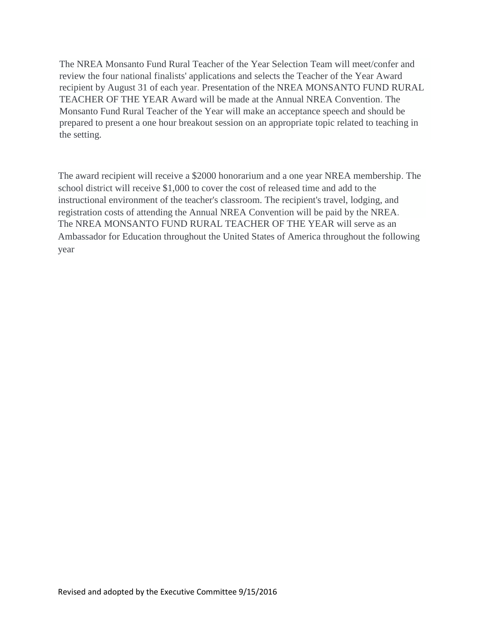The NREA Monsanto Fund Rural Teacher of the Year Selection Team will meet/confer and review the four national finalists' applications and selects the Teacher of the Year Award recipient by August 31 of each year. Presentation of the NREA MONSANTO FUND RURAL TEACHER OF THE YEAR Award will be made at the Annual NREA Convention. The Monsanto Fund Rural Teacher of the Year will make an acceptance speech and should be prepared to present a one hour breakout session on an appropriate topic related to teaching in the setting.

The award recipient will receive a \$2000 honorarium and a one year NREA membership. The school district will receive \$1,000 to cover the cost of released time and add to the instructional environment of the teacher's classroom. The recipient's travel, lodging, and registration costs of attending the Annual NREA Convention will be paid by the NREA. The NREA MONSANTO FUND RURAL TEACHER OF THE YEAR will serve as an Ambassador for Education throughout the United States of America throughout the following year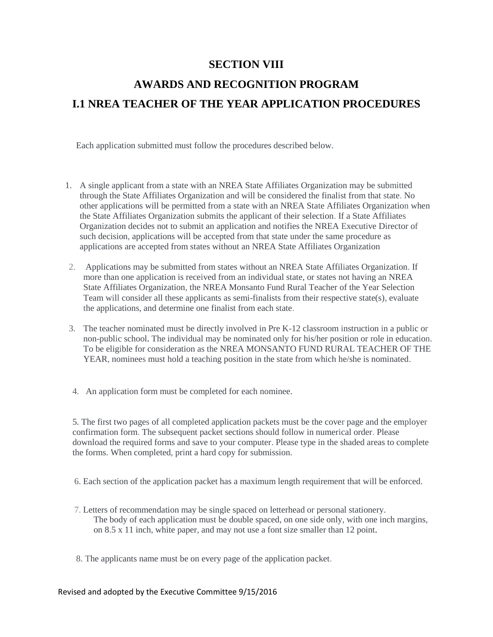## **SECTION VIII**

# **AWARDS AND RECOGNITION PROGRAM I.1 NREA TEACHER OF THE YEAR APPLICATION PROCEDURES**

Each application submitted must follow the procedures described below.

- 1. A single applicant from a state with an NREA State Affiliates Organization may be submitted through the State Affiliates Organization and will be considered the finalist from that state. No other applications will be permitted from a state with an NREA State Affiliates Organization when the State Affiliates Organization submits the applicant of their selection. If a State Affiliates Organization decides not to submit an application and notifies the NREA Executive Director of such decision, applications will be accepted from that state under the same procedure as applications are accepted from states without an NREA State Affiliates Organization
- 2. Applications may be submitted from states without an NREA State Affiliates Organization. If more than one application is received from an individual state, or states not having an NREA State Affiliates Organization, the NREA Monsanto Fund Rural Teacher of the Year Selection Team will consider all these applicants as semi-finalists from their respective state(s), evaluate the applications, and determine one finalist from each state.
- 3. The teacher nominated must be directly involved in Pre K-12 classroom instruction in a public or non-public school. The individual may be nominated only for his/her position or role in education. To be eligible for consideration as the NREA MONSANTO FUND RURAL TEACHER OF THE YEAR, nominees must hold a teaching position in the state from which he/she is nominated.
- 4. An application form must be completed for each nominee.

5. The first two pages of all completed application packets must be the cover page and the employer confirmation form. The subsequent packet sections should follow in numerical order. Please download the required forms and save to your computer. Please type in the shaded areas to complete the forms. When completed, print a hard copy for submission.

6. Each section of the application packet has a maximum length requirement that will be enforced.

- 7. Letters of recommendation may be single spaced on letterhead or personal stationery. The body of each application must be double spaced, on one side only, with one inch margins, on 8.5 x 11 inch, white paper, and may not use a font size smaller than 12 point.
- 8. The applicants name must be on every page of the application packet.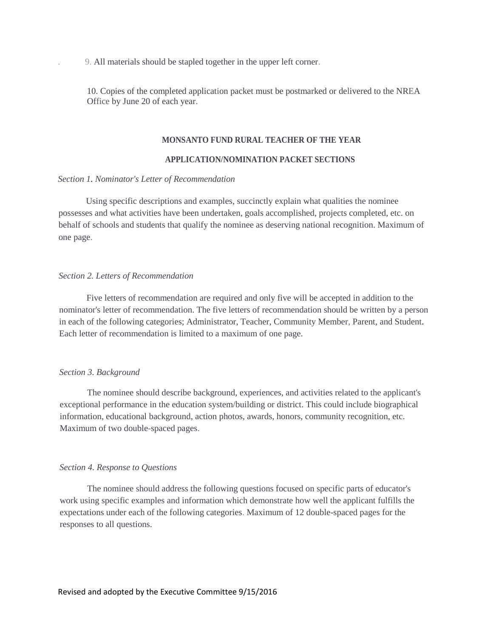. 9. All materials should be stapled together in the upper left corner.

10. Copies of the completed application packet must be postmarked or delivered to the NREA Office by June 20 of each year.

#### **MONSANTO FUND RURAL TEACHER OF THE YEAR**

#### **APPLICATION/NOMINATION PACKET SECTIONS**

#### *Section 1. Nominator's Letter of Recommendation*

Using specific descriptions and examples, succinctly explain what qualities the nominee possesses and what activities have been undertaken, goals accomplished, projects completed, etc. on behalf of schools and students that qualify the nominee as deserving national recognition. Maximum of one page.

#### *Section 2. Letters of Recommendation*

Five letters of recommendation are required and only five will be accepted in addition to the nominator's letter of recommendation. The five letters of recommendation should be written by a person in each of the following categories; Administrator, Teacher, Community Member, Parent, and Student. Each letter of recommendation is limited to a maximum of one page.

#### *Section 3. Background*

The nominee should describe background, experiences, and activities related to the applicant's exceptional performance in the education system/building or district. This could include biographical information, educational background, action photos, awards, honors, community recognition, etc. Maximum of two double-spaced pages.

#### *Section 4. Response to Questions*

The nominee should address the following questions focused on specific parts of educator's work using specific examples and information which demonstrate how well the applicant fulfills the expectations under each of the following categories. Maximum of 12 double-spaced pages for the responses to all questions.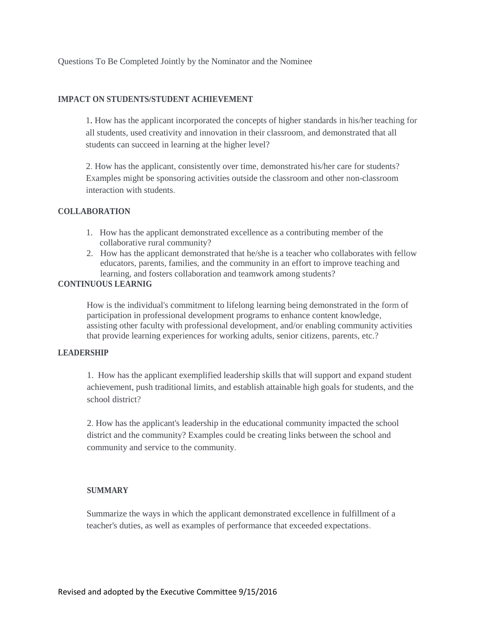#### **IMPACT ON STUDENTS/STUDENT ACHIEVEMENT**

1. How has the applicant incorporated the concepts of higher standards in his/her teaching for all students, used creativity and innovation in their classroom, and demonstrated that all students can succeed in learning at the higher level?

2. How has the applicant, consistently over time, demonstrated his/her care for students? Examples might be sponsoring activities outside the classroom and other non-classroom interaction with students.

#### **COLLABORATION**

- 1. How has the applicant demonstrated excellence as a contributing member of the collaborative rural community?
- 2. How has the applicant demonstrated that he/she is a teacher who collaborates with fellow educators, parents, families, and the community in an effort to improve teaching and learning, and fosters collaboration and teamwork among students?

#### **CONTINUOUS LEARNIG**

How is the individual's commitment to lifelong learning being demonstrated in the form of participation in professional development programs to enhance content knowledge, assisting other faculty with professional development, and/or enabling community activities that provide learning experiences for working adults, senior citizens, parents, etc.?

#### **LEADERSHIP**

1. How has the applicant exemplified leadership skills that will support and expand student achievement, push traditional limits, and establish attainable high goals for students, and the school district?

2. How has the applicant's leadership in the educational community impacted the school district and the community? Examples could be creating links between the school and community and service to the community.

#### **SUMMARY**

Summarize the ways in which the applicant demonstrated excellence in fulfillment of a teacher's duties, as well as examples of performance that exceeded expectations.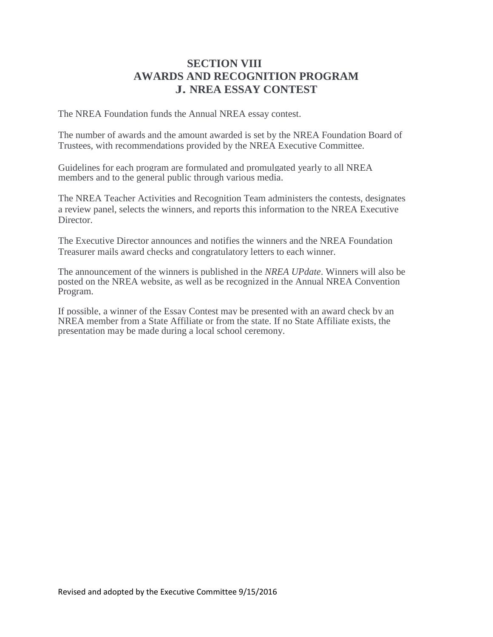# **SECTION VIII AWARDS AND RECOGNITION PROGRAM J. NREA ESSAY CONTEST**

The NREA Foundation funds the Annual NREA essay contest.

The number of awards and the amount awarded is set by the NREA Foundation Board of Trustees, with recommendations provided by the NREA Executive Committee.

Guidelines for each program are formulated and promulgated yearly to all NREA members and to the general public through various media.

The NREA Teacher Activities and Recognition Team administers the contests, designates a review panel, selects the winners, and reports this information to the NREA Executive Director.

The Executive Director announces and notifies the winners and the NREA Foundation Treasurer mails award checks and congratulatory letters to each winner.

The announcement of the winners is published in the *NREA UPdate*. Winners will also be posted on the NREA website, as well as be recognized in the Annual NREA Convention Program.

If possible, a winner of the Essay Contest may be presented with an award check by an NREA member from a State Affiliate or from the state. If no State Affiliate exists, the presentation may be made during a local school ceremony.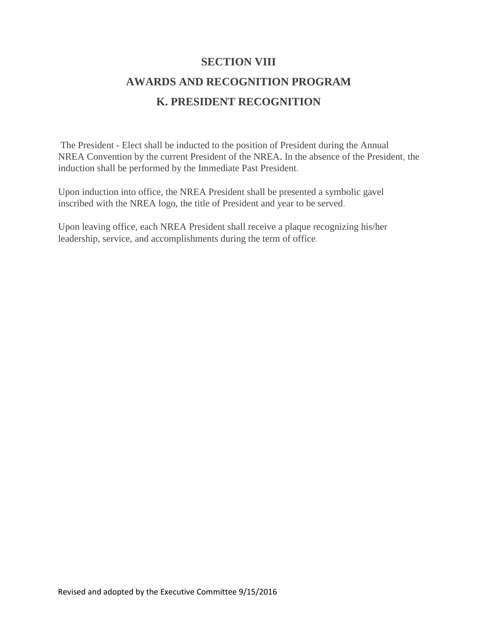### **SECTION VIII**

# **AWARDS AND RECOGNITION PROGRAM K. PRESIDENT RECOGNITION**

The President - Elect shall be inducted to the position of President during the Annual NREA Convention by the current President of the NREA. In the absence of the President, the induction shall be performed by the Immediate Past President.

Upon induction into office, the NREA President shall be presented a symbolic gavel inscribed with the NREA logo, the title of President and year to be served.

Upon leaving office, each NREA President shall receive a plaque recognizing his/her leadership, service, and accomplishments during the term of office.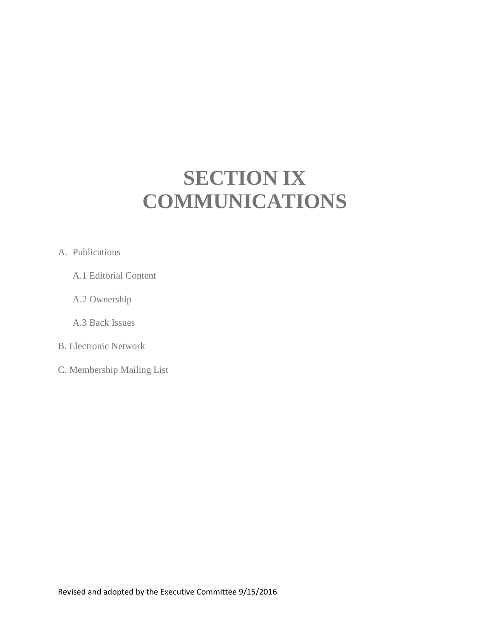# **SECTION IX COMMUNICATIONS**

#### A. Publications

- A.1 Editorial Content
- A.2 Ownership
- A.3 Back Issues
- B. Electronic Network
- C. Membership Mailing List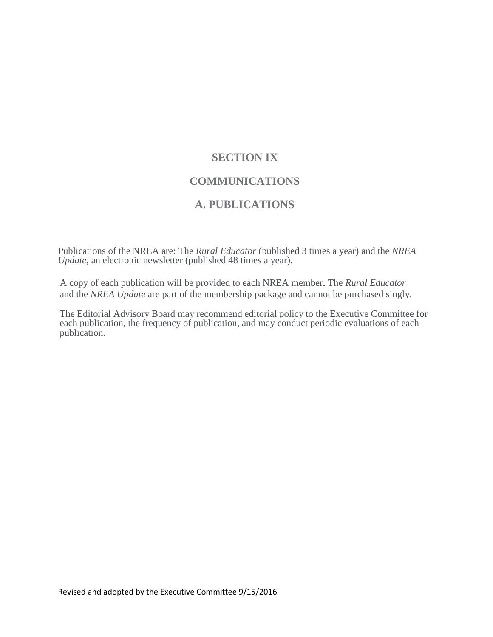# **SECTION IX COMMUNICATIONS**

# **A. PUBLICATIONS**

Publications of the NREA are: The *Rural Educator* (published 3 times a year) and the *NREA Update*, an electronic newsletter (published 48 times a year).

A copy of each publication will be provided to each NREA member. The *Rural Educator* and the *NREA Update* are part of the membership package and cannot be purchased singly.

The Editorial Advisory Board may recommend editorial policy to the Executive Committee for each publication, the frequency of publication, and may conduct periodic evaluations of each publication.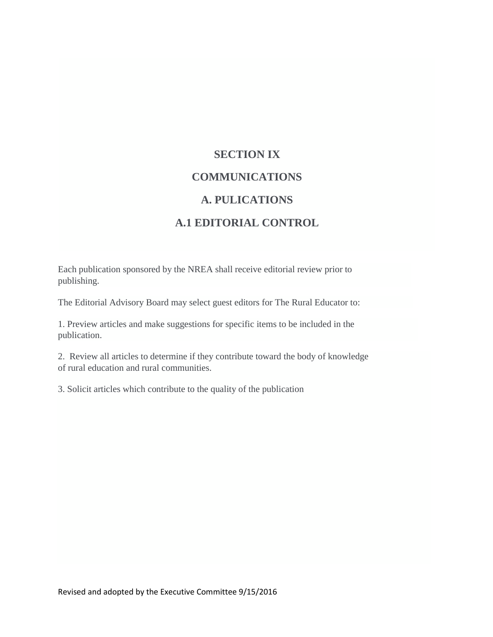# **SECTION IX COMMUNICATIONS A. PULICATIONS A.1 EDITORIAL CONTROL**

Each publication sponsored by the NREA shall receive editorial review prior to publishing.

The Editorial Advisory Board may select guest editors for The Rural Educator to:

1. Preview articles and make suggestions for specific items to be included in the publication.

2. Review all articles to determine if they contribute toward the body of knowledge of rural education and rural communities.

3. Solicit articles which contribute to the quality of the publication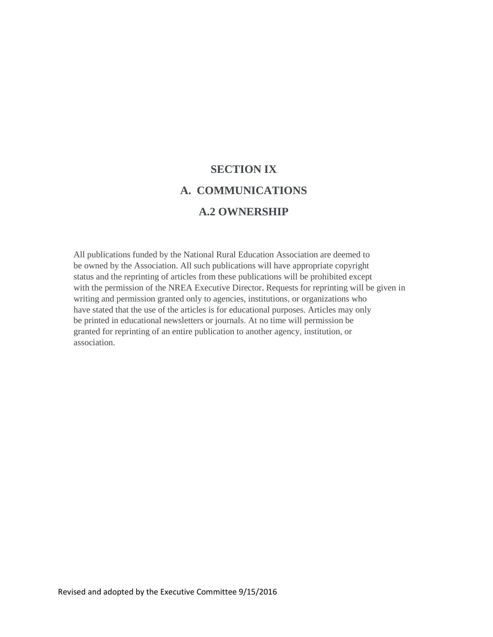# **SECTION IX A. COMMUNICATIONS A.2 OWNERSHIP**

All publications funded by the National Rural Education Association are deemed to be owned by the Association. All such publications will have appropriate copyright status and the reprinting of articles from these publications will be prohibited except with the permission of the NREA Executive Director. Requests for reprinting will be given in writing and permission granted only to agencies, institutions, or organizations who have stated that the use of the articles is for educational purposes. Articles may only be printed in educational newsletters or journals. At no time will permission be granted for reprinting of an entire publication to another agency, institution, or association.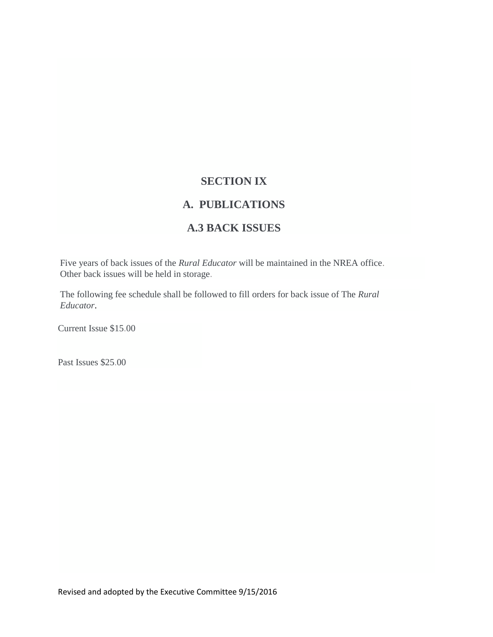# **SECTION IX**

# **A. PUBLICATIONS**

# **A.3 BACK ISSUES**

Five years of back issues of the *Rural Educator* will be maintained in the NREA office. Other back issues will be held in storage.

The following fee schedule shall be followed to fill orders for back issue of The *Rural Educator*.

Current Issue \$15.00

Past Issues \$25.00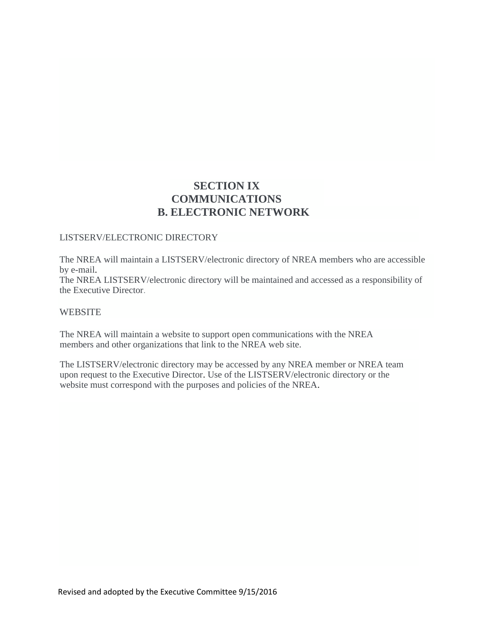# **SECTION IX COMMUNICATIONS B. ELECTRONIC NETWORK**

#### LISTSERV/ELECTRONIC DIRECTORY

The NREA will maintain a LISTSERV/electronic directory of NREA members who are accessible by e-mail.

The NREA LISTSERV/electronic directory will be maintained and accessed as a responsibility of the Executive Director.

#### **WEBSITE**

The NREA will maintain a website to support open communications with the NREA members and other organizations that link to the NREA web site.

The LISTSERV/electronic directory may be accessed by any NREA member or NREA team upon request to the Executive Director. Use of the LISTSERV/electronic directory or the website must correspond with the purposes and policies of the NREA.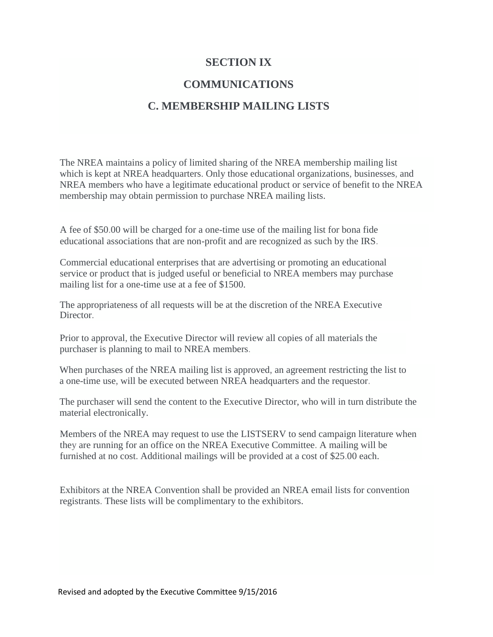## **SECTION IX**

# **COMMUNICATIONS**

## **C. MEMBERSHIP MAILING LISTS**

The NREA maintains a policy of limited sharing of the NREA membership mailing list which is kept at NREA headquarters. Only those educational organizations, businesses, and NREA members who have a legitimate educational product or service of benefit to the NREA membership may obtain permission to purchase NREA mailing lists.

A fee of \$50.00 will be charged for a one-time use of the mailing list for bona fide educational associations that are non-profit and are recognized as such by the IRS.

Commercial educational enterprises that are advertising or promoting an educational service or product that is judged useful or beneficial to NREA members may purchase mailing list for a one-time use at a fee of \$1500.

The appropriateness of all requests will be at the discretion of the NREA Executive Director.

Prior to approval, the Executive Director will review all copies of all materials the purchaser is planning to mail to NREA members.

When purchases of the NREA mailing list is approved, an agreement restricting the list to a one-time use, will be executed between NREA headquarters and the requestor.

The purchaser will send the content to the Executive Director, who will in turn distribute the material electronically.

Members of the NREA may request to use the LISTSERV to send campaign literature when they are running for an office on the NREA Executive Committee. A mailing will be furnished at no cost. Additional mailings will be provided at a cost of \$25.00 each.

Exhibitors at the NREA Convention shall be provided an NREA email lists for convention registrants. These lists will be complimentary to the exhibitors.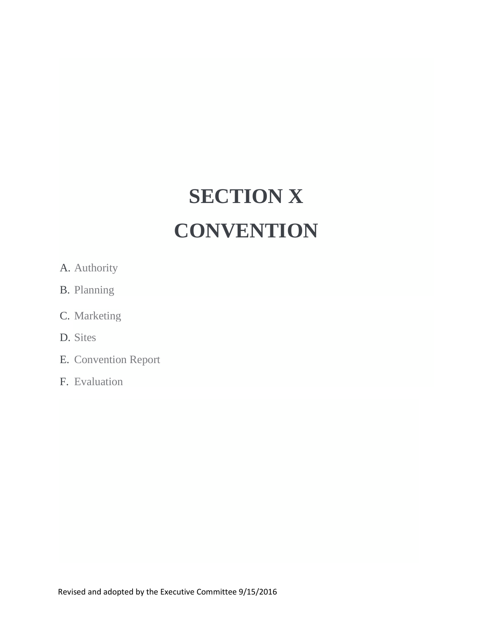# **SECTION X CONVENTION**

- A. Authority
- B. Planning
- C. Marketing
- D. Sites
- E. Convention Report
- F. Evaluation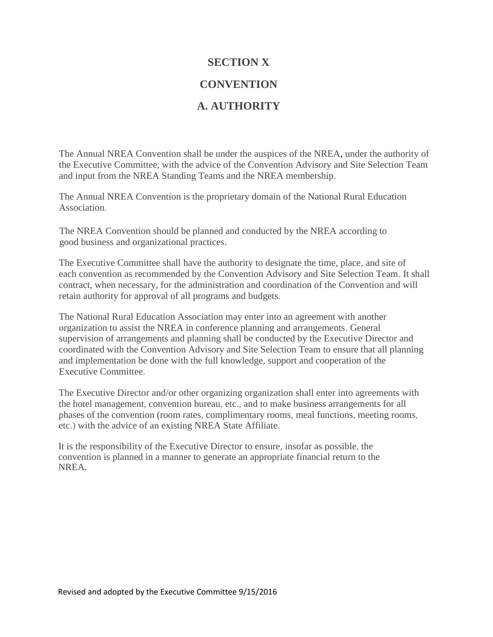### **SECTION X**

## **CONVENTION**

# **A. AUTHORITY**

The Annual NREA Convention shall be under the auspices of the NREA, under the authority of the Executive Committee, with the advice of the Convention Advisory and Site Selection Team and input from the NREA Standing Teams and the NREA membership.

The Annual NREA Convention is the proprietary domain of the National Rural Education Association.

The NREA Convention should be planned and conducted by the NREA according to good business and organizational practices.

The Executive Committee shall have the authority to designate the time, place, and site of each convention as recommended by the Convention Advisory and Site Selection Team. It shall contract, when necessary, for the administration and coordination of the Convention and will retain authority for approval of all programs and budgets.

The National Rural Education Association may enter into an agreement with another organization to assist the NREA in conference planning and arrangements. General supervision of arrangements and planning shall be conducted by the Executive Director and coordinated with the Convention Advisory and Site Selection Team to ensure that all planning and implementation be done with the full knowledge, support and cooperation of the Executive Committee.

The Executive Director and/or other organizing organization shall enter into agreements with the hotel management, convention bureau, etc., and to make business arrangements for all phases of the convention (room rates, complimentary rooms, meal functions, meeting rooms, etc.) with the advice of an existing NREA State Affiliate.

It is the responsibility of the Executive Director to ensure, insofar as possible, the convention is planned in a manner to generate an appropriate financial return to the NREA.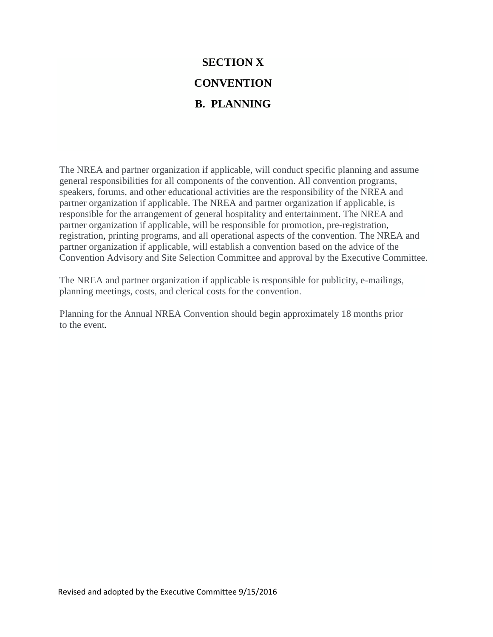# **SECTION X CONVENTION B. PLANNING**

The NREA and partner organization if applicable, will conduct specific planning and assume general responsibilities for all components of the convention. All convention programs, speakers, forums, and other educational activities are the responsibility of the NREA and partner organization if applicable. The NREA and partner organization if applicable, is responsible for the arrangement of general hospitality and entertainment. The NREA and partner organization if applicable, will be responsible for promotion, pre-registration, registration, printing programs, and all operational aspects of the convention. The NREA and partner organization if applicable, will establish a convention based on the advice of the Convention Advisory and Site Selection Committee and approval by the Executive Committee.

The NREA and partner organization if applicable is responsible for publicity, e-mailings, planning meetings, costs, and clerical costs for the convention.

Planning for the Annual NREA Convention should begin approximately 18 months prior to the event.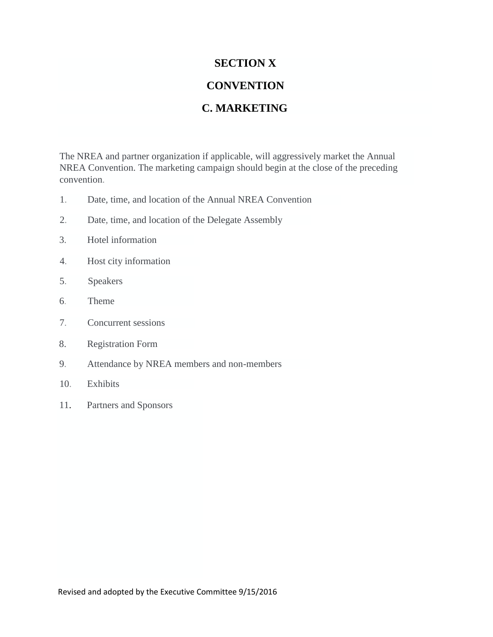## **SECTION X**

# **CONVENTION**

# **C. MARKETING**

The NREA and partner organization if applicable, will aggressively market the Annual NREA Convention. The marketing campaign should begin at the close of the preceding convention.

- 1. Date, time, and location of the Annual NREA Convention
- 2. Date, time, and location of the Delegate Assembly
- 3. Hotel information
- 4. Host city information
- 5. Speakers
- 6. Theme
- 7. Concurrent sessions
- 8. Registration Form
- 9. Attendance by NREA members and non-members
- 10. Exhibits
- 11. Partners and Sponsors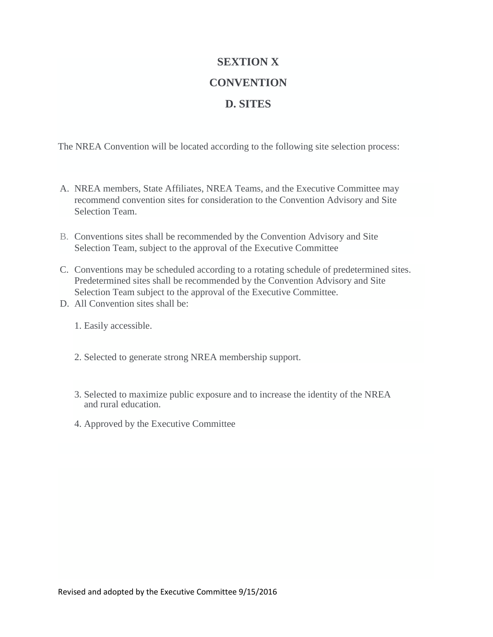# **SEXTION X CONVENTION D. SITES**

The NREA Convention will be located according to the following site selection process:

- A. NREA members, State Affiliates, NREA Teams, and the Executive Committee may recommend convention sites for consideration to the Convention Advisory and Site Selection Team.
- B. Conventions sites shall be recommended by the Convention Advisory and Site Selection Team, subject to the approval of the Executive Committee
- C. Conventions may be scheduled according to a rotating schedule of predetermined sites. Predetermined sites shall be recommended by the Convention Advisory and Site Selection Team subject to the approval of the Executive Committee.
- D. All Convention sites shall be:
	- 1. Easily accessible.
	- 2. Selected to generate strong NREA membership support.
	- 3. Selected to maximize public exposure and to increase the identity of the NREA and rural education.
	- 4. Approved by the Executive Committee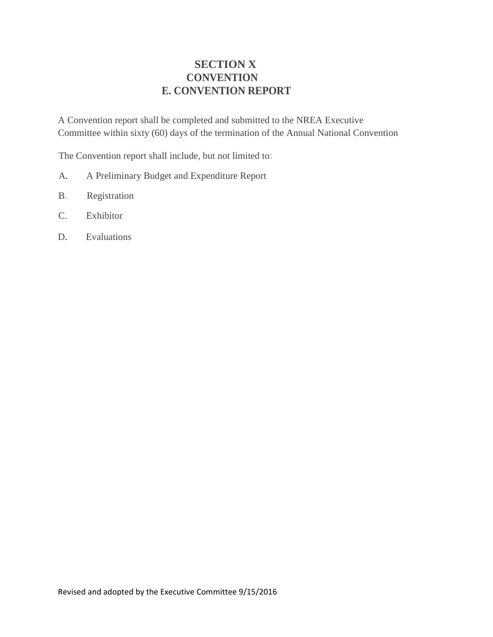# **SECTION X CONVENTION E. CONVENTION REPORT**

A Convention report shall be completed and submitted to the NREA Executive Committee within sixty (60) days of the termination of the Annual National Convention

The Convention report shall include, but not limited to:

- A. A Preliminary Budget and Expenditure Report
- B. Registration
- C. Exhibitor
- D. Evaluations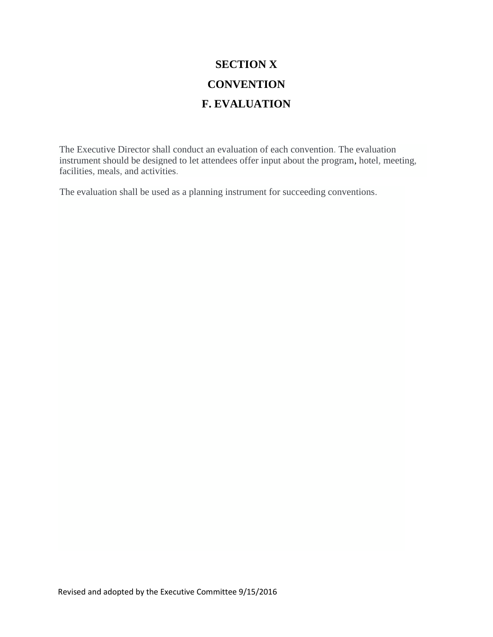# **SECTION X CONVENTION F. EVALUATION**

The Executive Director shall conduct an evaluation of each convention. The evaluation instrument should be designed to let attendees offer input about the program, hotel, meeting, facilities, meals, and activities.

The evaluation shall be used as a planning instrument for succeeding conventions.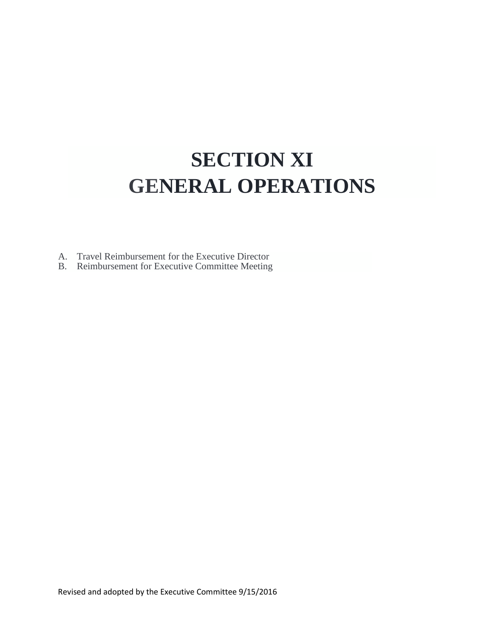# **SECTION XI GENERAL OPERATIONS**

A. Travel Reimbursement for the Executive Director

B. Reimbursement for Executive Committee Meeting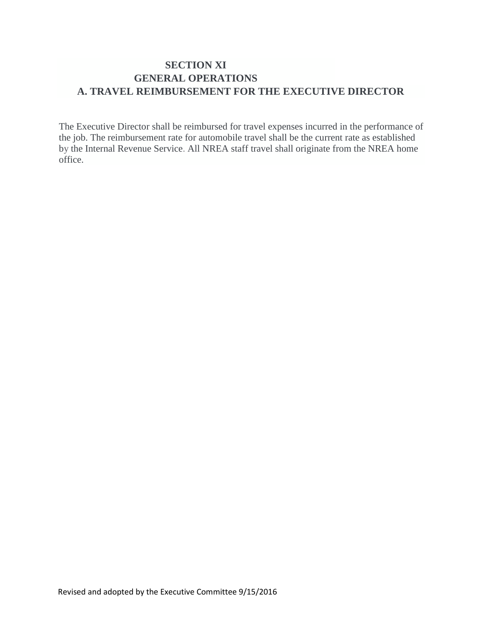# **SECTION XI GENERAL OPERATIONS A. TRAVEL REIMBURSEMENT FOR THE EXECUTIVE DIRECTOR**

The Executive Director shall be reimbursed for travel expenses incurred in the performance of the job. The reimbursement rate for automobile travel shall be the current rate as established by the Internal Revenue Service. All NREA staff travel shall originate from the NREA home office.